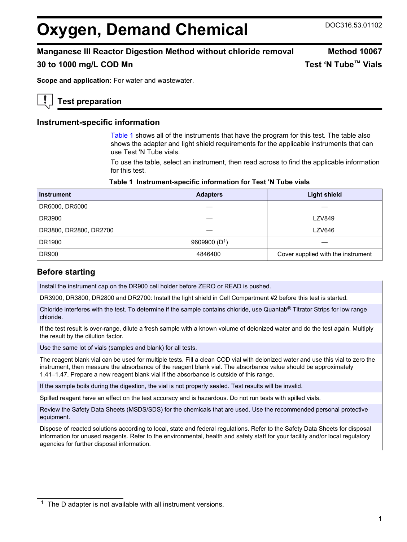# <span id="page-0-0"></span>**Oxygen, Demand Chemical** DOC316.53.01102

# **Manganese III Reactor Digestion Method without chloride removal Method 10067**

**30 to 1000 mg/L COD Mn Test 'N Tube™ Vials**

**Scope and application:** For water and wastewater.

# **Test preparation**

# **Instrument-specific information**

Table 1 shows all of the instruments that have the program for this test. The table also shows the adapter and light shield requirements for the applicable instruments that can use Test 'N Tube vials.

To use the table, select an instrument, then read across to find the applicable information for this test.

#### **Table 1 Instrument-specific information for Test 'N Tube vials**

| <b>Instrument</b>      | <b>Adapters</b> | <b>Light shield</b>                |
|------------------------|-----------------|------------------------------------|
| DR6000, DR5000         |                 |                                    |
| DR3900                 |                 | <b>LZV849</b>                      |
| DR3800, DR2800, DR2700 |                 | <b>LZV646</b>                      |
| DR1900                 | 9609900 $(D1)$  |                                    |
| <b>DR900</b>           | 4846400         | Cover supplied with the instrument |

### **Before starting**

Install the instrument cap on the DR900 cell holder before ZERO or READ is pushed.

DR3900, DR3800, DR2800 and DR2700: Install the light shield in Cell Compartment #2 before this test is started.

Chloride interferes with the test. To determine if the sample contains chloride, use Quantab<sup>®</sup> Titrator Strips for low range chloride.

If the test result is over-range, dilute a fresh sample with a known volume of deionized water and do the test again. Multiply the result by the dilution factor.

Use the same lot of vials (samples and blank) for all tests.

The reagent blank vial can be used for multiple tests. Fill a clean COD vial with deionized water and use this vial to zero the instrument, then measure the absorbance of the reagent blank vial. The absorbance value should be approximately 1.41–1.47. Prepare a new reagent blank vial if the absorbance is outside of this range.

If the sample boils during the digestion, the vial is not properly sealed. Test results will be invalid.

Spilled reagent have an effect on the test accuracy and is hazardous. Do not run tests with spilled vials.

Review the Safety Data Sheets (MSDS/SDS) for the chemicals that are used. Use the recommended personal protective equipment.

Dispose of reacted solutions according to local, state and federal regulations. Refer to the Safety Data Sheets for disposal information for unused reagents. Refer to the environmental, health and safety staff for your facility and/or local regulatory agencies for further disposal information.

 $1$  The D adapter is not available with all instrument versions.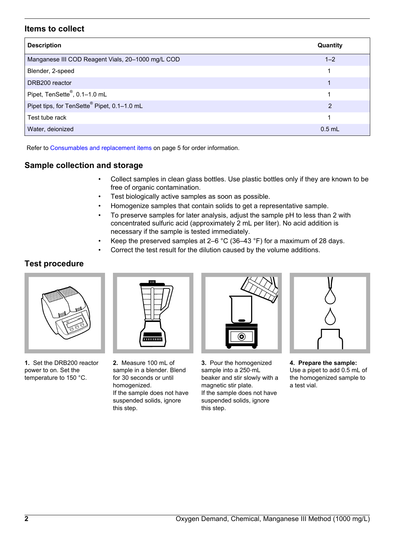# **Items to collect**

| <b>Description</b>                                      | Quantity |
|---------------------------------------------------------|----------|
| Manganese III COD Reagent Vials, 20-1000 mg/L COD       | $1 - 2$  |
| Blender, 2-speed                                        | 1        |
| DRB200 reactor                                          |          |
| Pipet, TenSette®, 0.1-1.0 mL                            |          |
| Pipet tips, for TenSette <sup>®</sup> Pipet, 0.1-1.0 mL | 2        |
| Test tube rack                                          |          |
| Water, deionized                                        | $0.5$ mL |

Refer to [Consumables and replacement items](#page-4-0) on page 5 for order information.

# **Sample collection and storage**

- Collect samples in clean glass bottles. Use plastic bottles only if they are known to be free of organic contamination.
- Test biologically active samples as soon as possible.
- Homogenize samples that contain solids to get a representative sample.
- To preserve samples for later analysis, adjust the sample pH to less than 2 with concentrated sulfuric acid (approximately 2 mL per liter). No acid addition is necessary if the sample is tested immediately.
- Keep the preserved samples at 2–6  $^{\circ}$ C (36–43  $^{\circ}$ F) for a maximum of 28 days.
- Correct the test result for the dilution caused by the volume additions.

# **Test procedure**



**1.** Set the DRB200 reactor power to on. Set the temperature to 150 °C.



**2.** Measure 100 mL of sample in a blender. Blend for 30 seconds or until homogenized. If the sample does not have suspended solids, ignore this step.



**3.** Pour the homogenized sample into a 250-mL beaker and stir slowly with a magnetic stir plate. If the sample does not have suspended solids, ignore this step.



**4. Prepare the sample:** Use a pipet to add 0.5 mL of the homogenized sample to a test vial.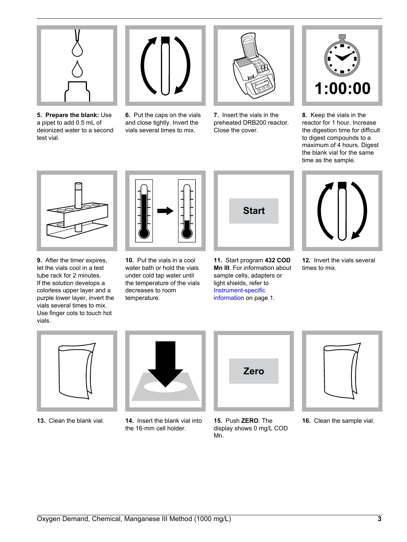

**5. Prepare the blank:** Use a pipet to add 0.5 mL of deionized water to a second test vial.



**6.** Put the caps on the vials and close tightly. Invert the vials several times to mix.



**7.** Insert the vials in the preheated DRB200 reactor. Close the cover.



**8.** Keep the vials in the reactor for 1 hour. Increase the digestion time for difficult to digest compounds to a maximum of 4 hours. Digest the blank vial for the same time as the sample.



**9.** After the timer expires, let the vials cool in a test tube rack for 2 minutes. If the solution develops a colorless upper layer and a purple lower layer, invert the vials several times to mix. Use finger cots to touch hot vials.



**10.** Put the vials in a cool water bath or hold the vials under cold tap water until the temperature of the vials decreases to room temperature.



**11.** Start program **432 COD Mn III**. For information about sample cells, adapters or light shields, refer to [Instrument-specific](#page-0-0) [information](#page-0-0) on page 1.



**12.** Invert the vials several times to mix.





**13.** Clean the blank vial. **14.** Insert the blank vial into the 16‑mm cell holder.



**15.** Push **ZERO**. The display shows 0 mg/L COD Mn.



**16.** Clean the sample vial.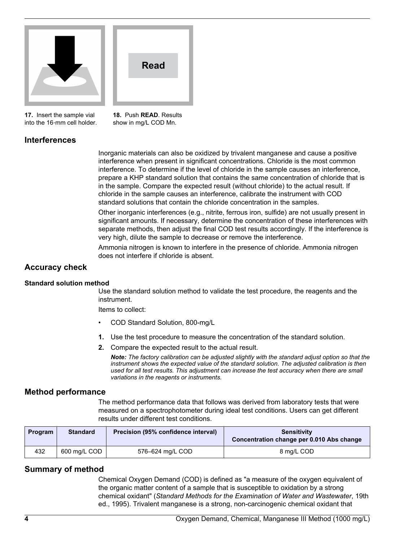

**Read**

**17.** Insert the sample vial into the 16‑mm cell holder. **18.** Push **READ**. Results show in mg/L COD Mn.

# **Interferences**

Inorganic materials can also be oxidized by trivalent manganese and cause a positive interference when present in significant concentrations. Chloride is the most common interference. To determine if the level of chloride in the sample causes an interference, prepare a KHP standard solution that contains the same concentration of chloride that is in the sample. Compare the expected result (without chloride) to the actual result. If chloride in the sample causes an interference, calibrate the instrument with COD standard solutions that contain the chloride concentration in the samples.

Other inorganic interferences (e.g., nitrite, ferrous iron, sulfide) are not usually present in significant amounts. If necessary, determine the concentration of these interferences with separate methods, then adjust the final COD test results accordingly. If the interference is very high, dilute the sample to decrease or remove the interference.

Ammonia nitrogen is known to interfere in the presence of chloride. Ammonia nitrogen does not interfere if chloride is absent.

## **Accuracy check**

#### **Standard solution method**

Use the standard solution method to validate the test procedure, the reagents and the instrument.

Items to collect:

- COD Standard Solution, 800-mg/L
- **1.** Use the test procedure to measure the concentration of the standard solution.
- **2.** Compare the expected result to the actual result.

*Note: The factory calibration can be adjusted slightly with the standard adjust option so that the instrument shows the expected value of the standard solution. The adjusted calibration is then used for all test results. This adjustment can increase the test accuracy when there are small variations in the reagents or instruments.*

#### **Method performance**

The method performance data that follows was derived from laboratory tests that were measured on a spectrophotometer during ideal test conditions. Users can get different results under different test conditions.

| Program | <b>Standard</b> | Precision (95% confidence interval) | Sensitivity<br>Concentration change per 0.010 Abs change |
|---------|-----------------|-------------------------------------|----------------------------------------------------------|
| 432     | 600 mg/L COD    | 576-624 mg/L COD                    | 8 mg/L COD                                               |

#### **Summary of method**

Chemical Oxygen Demand (COD) is defined as "a measure of the oxygen equivalent of the organic matter content of a sample that is susceptible to oxidation by a strong chemical oxidant" (*Standard Methods for the Examination of Water and Wastewater*, 19th ed., 1995). Trivalent manganese is a strong, non-carcinogenic chemical oxidant that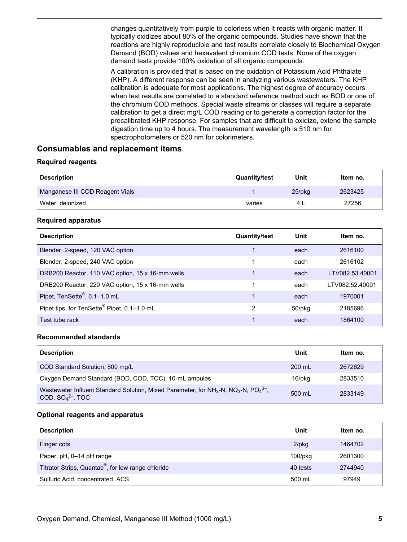<span id="page-4-0"></span>changes quantitatively from purple to colorless when it reacts with organic matter. It typically oxidizes about 80% of the organic compounds. Studies have shown that the reactions are highly reproducible and test results correlate closely to Biochemical Oxygen Demand (BOD) values and hexavalent chromium COD tests. None of the oxygen demand tests provide 100% oxidation of all organic compounds.

A calibration is provided that is based on the oxidation of Potassium Acid Phthalate (KHP). A different response can be seen in analyzing various wastewaters. The KHP calibration is adequate for most applications. The highest degree of accuracy occurs when test results are correlated to a standard reference method such as BOD or one of the chromium COD methods. Special waste streams or classes will require a separate calibration to get a direct mg/L COD reading or to generate a correction factor for the precalibrated KHP response. For samples that are difficult to oxidize, extend the sample digestion time up to 4 hours. The measurement wavelength is 510 nm for spectrophotometers or 520 nm for colorimeters.

# **Consumables and replacement items**

#### **Required reagents**

| <b>Description</b>              | <b>Quantity/test</b> | Unit      | Item no. |
|---------------------------------|----------------------|-----------|----------|
| Manganese III COD Reagent Vials |                      | $25$ /pkq | 2623425  |
| Water, deionized                | varies               |           | 27256    |

#### **Required apparatus**

| <b>Description</b>                               | <b>Quantity/test</b> | Unit         | Item no.        |
|--------------------------------------------------|----------------------|--------------|-----------------|
| Blender, 2-speed, 120 VAC option                 |                      | each         | 2616100         |
| Blender, 2-speed, 240 VAC option                 |                      | each         | 2616102         |
| DRB200 Reactor, 110 VAC option, 15 x 16-mm wells |                      | each         | LTV082.53.40001 |
| DRB200 Reactor, 220 VAC option, 15 x 16-mm wells |                      | each         | LTV082.52.40001 |
| Pipet, TenSette®, 0.1-1.0 mL                     |                      | each         | 1970001         |
| Pipet tips, for TenSette® Pipet, 0.1-1.0 mL      | $\overline{2}$       | $50$ /p $kg$ | 2185696         |
| Test tube rack                                   |                      | each         | 1864100         |

#### **Recommended standards**

| <b>Description</b>                                                                                                                                       | Unit             | Item no. |
|----------------------------------------------------------------------------------------------------------------------------------------------------------|------------------|----------|
| COD Standard Solution, 800 mg/L                                                                                                                          | 200 mL           | 2672629  |
| Oxygen Demand Standard (BOD, COD, TOC), 10-mL ampules                                                                                                    | 16/pkg           | 2833510  |
| Wastewater Influent Standard Solution, Mixed Parameter, for NH <sub>3</sub> -N, NO <sub>3</sub> -N, PO <sub>4</sub> <sup>3-</sup> ,<br>COD, $SO42$ , TOC | $500 \text{ ml}$ | 2833149  |

#### **Optional reagents and apparatus**

| <b>Description</b>                                             | Unit       | Item no. |
|----------------------------------------------------------------|------------|----------|
| Finger cots                                                    | $2$ /pkg   | 1464702  |
| Paper, pH, 0-14 pH range                                       | $100$ /pkq | 2601300  |
| Titrator Strips, Quantab <sup>®</sup> , for low range chloride | 40 tests   | 2744940  |
| Sulfuric Acid, concentrated, ACS                               | 500 mL     | 97949    |